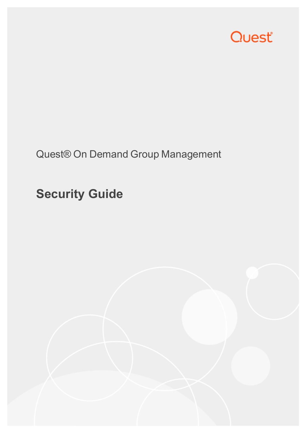

### Quest® On Demand Group Management

# **Security Guide**

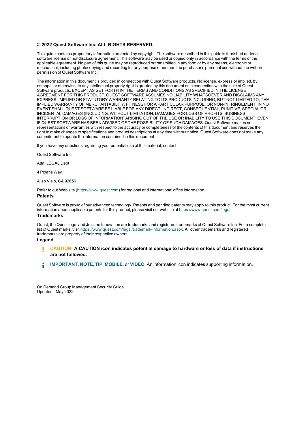#### **© 2022 Quest Software Inc. ALL RIGHTS RESERVED.**

This guide contains proprietary information protected by copyright. The software described in this guide is furnished under a software license or nondisclosure agreement. This software may be used or copied only in accordance with the terms of the applicable agreement. No part of this guide may be reproduced or transmitted in any form or by any means, electronic or mechanical, including photocopying and recording for any purpose other than the purchaser's personal use without the written permission of Quest Software Inc.

The information in this document is provided in connection with Quest Software products. No license, express or implied, by estoppel or otherwise, to any intellectual property right is granted by this document or in connection with the sale of Quest Software products. EXCEPT AS SET FORTH IN THE TERMS AND CONDITIONS AS SPECIFIED IN THE LICENSE AGREEMENT FOR THIS PRODUCT, QUEST SOFTWARE ASSUMES NO LIABILITY WHATSOEVER AND DISCLAIMS ANY EXPRESS, IMPLIED OR STATUTORY WARRANTY RELATING TO ITS PRODUCTS INCLUDING, BUT NOT LIMITED TO, THE IMPLIED WARRANTY OF MERCHANTABILITY, FITNESS FOR A PARTICULAR PURPOSE, OR NON-INFRINGEMENT. IN NO EVENT SHALL QUEST SOFTWARE BE LIABLE FOR ANY DIRECT, INDIRECT, CONSEQUENTIAL, PUNITIVE, SPECIAL OR INCIDENTAL DAMAGES (INCLUDING, WITHOUT LIMITATION, DAMAGES FOR LOSS OF PROFITS, BUSINESS INTERRUPTION OR LOSS OF INFORMATION) ARISING OUT OF THE USE OR INABILITY TO USE THIS DOCUMENT, EVEN IF QUEST SOFTWARE HAS BEEN ADVISED OF THE POSSIBILITY OF SUCH DAMAGES. Quest Software makes no representations or warranties with respect to the accuracy or completeness of the contents of this document and reserves the right to make changes to specifications and product descriptions at any time without notice. Quest Software does not make any commitment to update the information contained in this document.

If you have any questions regarding your potential use of this material, contact:

Quest Software Inc.

Attn: LEGAL Dept

4 Polaris Way

Aliso Viejo, CA 92656

Refer to our Web site [\(https://www.quest.com\)](https://www.quest.com/) for regional and international office information.

#### **Patents**

Quest Software is proud of our advanced technology. Patents and pending patents may apply to this product. For the most current information about applicable patents for this product, please visit our website at <https://www.quest.com/legal>.

#### **Trademarks**

Quest, the Quest logo, and Join the Innovation are trademarks and registered trademarks of Quest Software Inc. For a complete list of Quest marks, visit [https://www.quest.com/legal/trademark-information.aspx.](https://www.quest.com/legal/trademark-information.aspx) All other trademarks and registered trademarks are property of their respective owners.

#### **Legend**

П **CAUTION: A CAUTION icon indicates potential damage to hardware or loss of data if instructions are not followed.**

**IMPORTANT**, **NOTE**, **TIP**, **MOBILE**, or **VIDEO**: An information icon indicates supporting information. i

On Demand Group Management Security Guide Updated - May 2022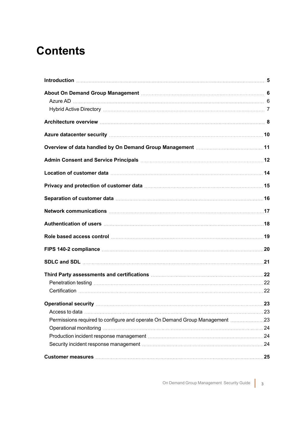### **Contents**

| Azure datacenter security manufactured and all the datacenter security manufactured and all the datacenter security                                                                                                            |  |
|--------------------------------------------------------------------------------------------------------------------------------------------------------------------------------------------------------------------------------|--|
|                                                                                                                                                                                                                                |  |
|                                                                                                                                                                                                                                |  |
|                                                                                                                                                                                                                                |  |
|                                                                                                                                                                                                                                |  |
|                                                                                                                                                                                                                                |  |
|                                                                                                                                                                                                                                |  |
|                                                                                                                                                                                                                                |  |
| Role based access control manufactured and the based access control manufactured access control                                                                                                                                |  |
|                                                                                                                                                                                                                                |  |
|                                                                                                                                                                                                                                |  |
|                                                                                                                                                                                                                                |  |
| Penetration testing members and the control of the control of the control of the control of the control of the                                                                                                                 |  |
|                                                                                                                                                                                                                                |  |
|                                                                                                                                                                                                                                |  |
|                                                                                                                                                                                                                                |  |
| Permissions required to configure and operate On Demand Group Management 23                                                                                                                                                    |  |
| Operational monitoring manufactured and the contract of the contract of the contract of the contract of the contract of the contract of the contract of the contract of the contract of the contract of the contract of the co |  |
| Production incident response management material content and content and the Production incident response management materials.                                                                                                |  |
|                                                                                                                                                                                                                                |  |
|                                                                                                                                                                                                                                |  |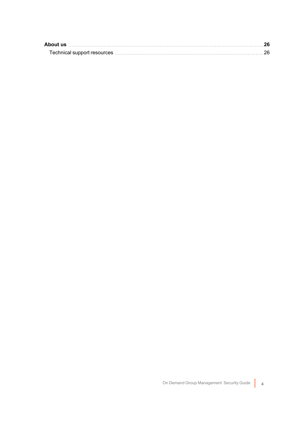| About us                                                                                                                                                                                                                      |  |
|-------------------------------------------------------------------------------------------------------------------------------------------------------------------------------------------------------------------------------|--|
| Technical support resources manufactured and the control of the control of the control of the control of the control of the control of the control of the control of the control of the control of the control of the control |  |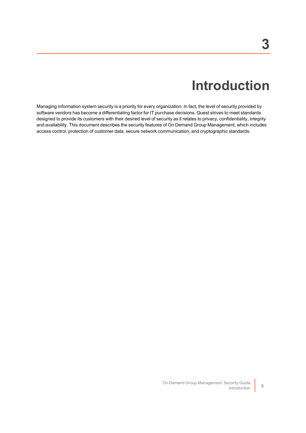# **Introduction**

<span id="page-4-0"></span>Managing information system security is a priority for every organization. In fact, the level of security provided by software vendors has become a differentiating factor for IT purchase decisions. Quest strives to meet standards designed to provide its customers with their desired level of security as it relates to privacy, confidentiality, integrity and availability. This document describes the security features of On Demand Group Management, which includes access control, protection of customer data, secure network communication, and cryptographic standards.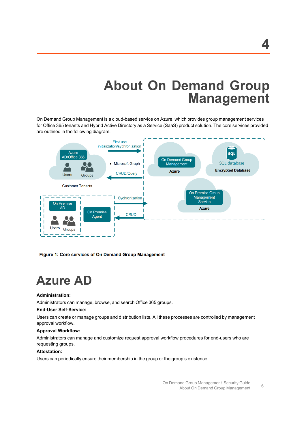# **About On Demand Group Management**

<span id="page-5-0"></span>On Demand Group Management is a cloud-based service on Azure, which provides group management services for Office 365 tenants and Hybrid Active Directory as a Service (SaaS) product solution. The core services provided are outlined in the following diagram.



<span id="page-5-1"></span>Figure 1: Core services of On Demand Group Management

# **Azure AD**

### **Administration:**

Administrators can manage, browse, and search Office 365 groups.

### **End-User Self-Service:**

Users can create or manage groups and distribution lists. All these processes are controlled by management approval workflow.

### **Approval Workflow:**

Administrators can manage and customize request approval workflow procedures for end-users who are requesting groups.

### **Attestation:**

Users can periodically ensure their membership in the group or the group's existence.

On Demand Group Management Security Guide About On Demand Group Management **<sup>6</sup>**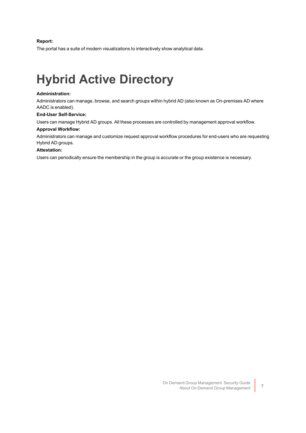### **Report:**

The portal has a suite of modern visualizations to interactively show analytical data.

# <span id="page-6-0"></span>**Hybrid Active Directory**

### **Administration:**

Administrators can manage, browse, and search groups within hybrid AD (also known as On-premises AD where AADC is enabled).

#### **End-User Self-Service:**

Users can manage Hybrid AD groups. All these processes are controlled by management approval workflow.

#### **Approval Workflow:**

Administrators can manage and customize request approval workflow procedures for end-users who are requesting Hybrid AD groups.

### **Attestation:**

Users can periodically ensure the membership in the group is accurate or the group existence is necessary.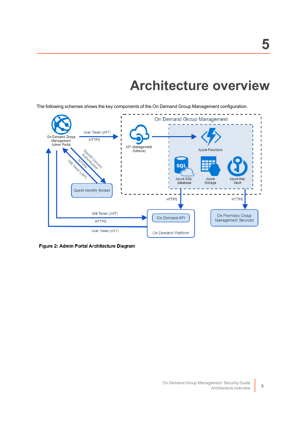# **Architecture overview**

<span id="page-7-0"></span>The following schemes shows the key components of the On Demand Group Management configuration.



Figure 2: Admin Portal Architecture Diagram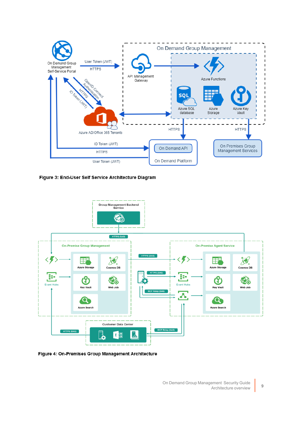

Figure 3: End-User Self Service Architecture Diagram



Figure 4: On-Premises Group Management Architecture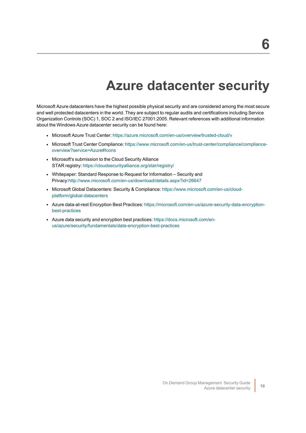# **Azure datacenter security**

<span id="page-9-0"></span>Microsoft Azure datacenters have the highest possible physical security and are considered among the most secure and well protected datacenters in the world. They are subject to regular audits and certifications including Service Organization Controls (SOC) 1, SOC 2 and ISO/IEC 27001:2005. Relevant references with additional information about the Windows Azure datacenter security can be found here:

- Microsoft Azure Trust Center: [https://azure.microsoft.com/en-us/overview/trusted-cloud/v](https://azure.microsoft.com/en-us/overview/trusted-cloud/)
- Microsoft Trust Center Compliance: [https://www.microsoft.com/en-us/trust-center/compliance/compliance](https://www.microsoft.com/en-us/trust-center/compliance/compliance-overview?service=Azure#Icons)[overview?service=Azure#Icons](https://www.microsoft.com/en-us/trust-center/compliance/compliance-overview?service=Azure#Icons)
- Microsoft's submission to the Cloud Security Alliance STAR registry:<https://cloudsecurityalliance.org/star/registry/>
- Whitepaper: Standard Response to Request for Information Security and Privacy[:http://www.microsoft.com/en-us/download/details.aspx?id=26647](http://www.microsoft.com/en-us/download/details.aspx?id=26647)
- Microsoft Global Datacenters: Security & Compliance: [https://www.microsoft.com/en-us/cloud](https://www.microsoft.com/en-us/cloud-platform/global-datacenters)[platform/global-datacenters](https://www.microsoft.com/en-us/cloud-platform/global-datacenters)
- Azure data-at-rest Encryption Best Practices: [https://microsoft.com/en-us/azure-security-data-encryption](https://microsoft.com/en-us/azure-security-data-encryption-best-practices)[best-practices](https://microsoft.com/en-us/azure-security-data-encryption-best-practices)
- Azure data security and encryption best practices: [https://docs.microsoft.com/en](https://docs.microsoft.com/en-us/azure/security/fundamentals/data-encryption-best-practices)[us/azure/security/fundamentals/data-encryption-best-practices](https://docs.microsoft.com/en-us/azure/security/fundamentals/data-encryption-best-practices)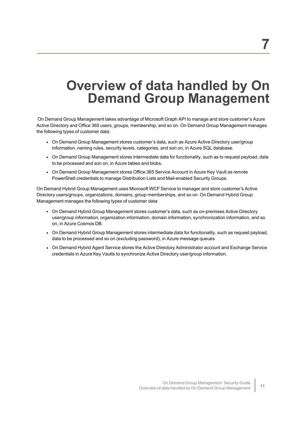# <span id="page-10-0"></span>**Overview of data handled by On Demand Group Management**

On Demand Group Management takes advantage of Microsoft Graph API to manage and store customer's Azure Active Directory and Office 365 users, groups, membership, and so on. On Demand Group Management manages the following types of customer data:

- On Demand Group Management stores customer's data, such as Azure Active Directory user/group information, naming rules, security levels, categories, and son on, in Azure SQL database.
- On Demand Group Management stores intermediate data for functionality, such as to request payload, data to be processed and son on, in Azure tables and blobs.
- On Demand Group Management stores Office 365 Service Account in Azure Key Vault as remote PowerShell credentials to manage Distribution Lists and Mail-enabled Security Groups.

On Demand Hybrid Group Management uses Microsoft WCF Service to manager and store customer's Active Directory users/groups, organizations, domains, group memberships, and so on. On Demand Hybrid Group Management manages the following types of customer data:

- On Demand Hybrid Group Management stores customer's data, such as on-premises Active Directory user/group information, organization information, domain information, synchronization information, and so on, in Azure Cosmos DB.
- On Demand Hybrid Group Management stores intermediate data for functionality, such as request payload, data to be processed and so on (excluding password), in Azure message queues
- On Demand Hybrid Agent Service stores the Active Directory Administrator account and Exchange Service credentials in Azure Key Vaults to synchronize Active Directory user/group information.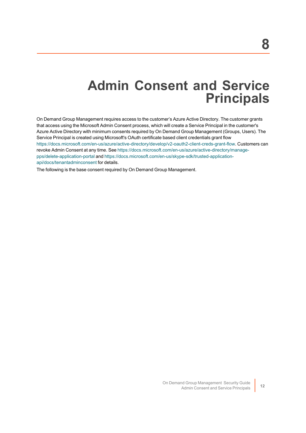### **Admin Consent and Service Principals**

<span id="page-11-0"></span>On Demand Group Management requires access to the customer's Azure Active Directory. The customer grants that access using the Microsoft Admin Consent process, which will create a Service Principal in the customer's Azure Active Directory with minimum consents required by On Demand Group Management (Groups, Users). The Service Principal is created using Microsoft's OAuth certificate based client credentials grant flow <https://docs.microsoft.com/en-us/azure/active-directory/develop/v2-oauth2-client-creds-grant-flow>. Customers can revoke Admin Consent at any time. See [https://docs.microsoft.com/en-us/azure/active-directory/manage](https://docs.microsoft.com/en-us/azure/active-directory/manage-pps/delete-application-portal)[pps/delete-application-portal](https://docs.microsoft.com/en-us/azure/active-directory/manage-pps/delete-application-portal) and [https://docs.microsoft.com/en-us/skype-sdk/trusted-application](https://docs.microsoft.com/en-us/skype-sdk/trusted-application-api/docs/tenantadminconsent)[api/docs/tenantadminconsent](https://docs.microsoft.com/en-us/skype-sdk/trusted-application-api/docs/tenantadminconsent) for details.

The following is the base consent required by On Demand Group Management.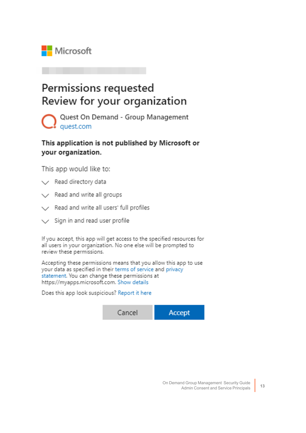

### Permissions requested Review for your organization

Quest On Demand - Group Management quest.com

This application is not published by Microsoft or your organization.

This app would like to:

- $\vee$  Read directory data
- $\vee$  Read and write all groups
- $\angle$  Read and write all users' full profiles
- $\vee$  Sign in and read user profile

If you accept, this app will get access to the specified resources for all users in your organization. No one else will be prompted to review these permissions.

Accepting these permissions means that you allow this app to use your data as specified in their terms of service and privacy statement. You can change these permissions at https://myapps.microsoft.com. Show details

Does this app look suspicious? Report it here

Cancel **Accept**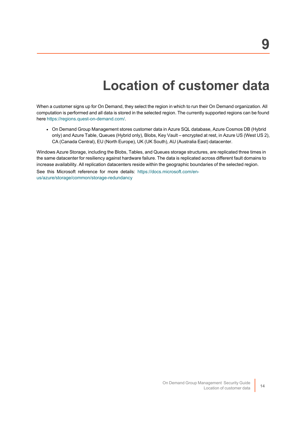# **Location of customer data**

<span id="page-13-0"></span>When a customer signs up for On Demand, they select the region in which to run their On Demand organization. All computation is performed and all data is stored in the selected region. The currently supported regions can be found here [https://regions.quest-on-demand.com/.](https://regions.quest-on-demand.com/)

• On Demand Group Management stores customer data in Azure SQL database, Azure Cosmos DB (Hybrid only) and Azure Table, Queues (Hybrid only), Blobs, Key Vault – encrypted at rest, in Azure US (West US 2), CA (Canada Central), EU (North Europe), UK (UK South), AU (Australia East) datacenter.

Windows Azure Storage, including the Blobs, Tables, and Queues storage structures, are replicated three times in the same datacenter for resiliency against hardware failure. The data is replicated across different fault domains to increase availability. All replication datacenters reside within the geographic boundaries of the selected region.

See this Microsoft reference for more details: [https://docs.microsoft.com/en](https://docs.microsoft.com/en-us/azure/storage/common/storage-redundancy)[us/azure/storage/common/storage-redundancy](https://docs.microsoft.com/en-us/azure/storage/common/storage-redundancy)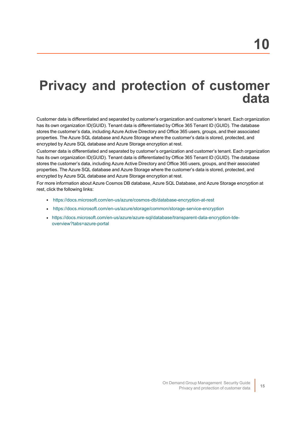# <span id="page-14-0"></span>**Privacy and protection of customer data**

Customer data is differentiated and separated by customer's organization and customer's tenant. Each organization has its own organization ID(GUID). Tenant data is differentiated by Office 365 Tenant ID (GUID). The database stores the customer's data, including Azure Active Directory and Office 365 users, groups, and their associated properties. The Azure SQL database and Azure Storage where the customer's data is stored, protected, and encrypted by Azure SQL database and Azure Storage encryption at rest.

Customer data is differentiated and separated by customer's organization and customer's tenant. Each organization has its own organization ID(GUID). Tenant data is differentiated by Office 365 Tenant ID (GUID). The database stores the customer's data, including Azure Active Directory and Office 365 users, groups, and their associated properties. The Azure SQL database and Azure Storage where the customer's data is stored, protected, and encrypted by Azure SQL database and Azure Storage encryption at rest.

For more information about Azure Cosmos DB database, Azure SQL Database, and Azure Storage encryption at rest, click the following links:

- <https://docs.microsoft.com/en-us/azure/cosmos-db/database-encryption-at-rest>
- <https://docs.microsoft.com/en-us/azure/storage/common/storage-service-encryption>
- <sup>l</sup> [https://docs.microsoft.com/en-us/azure/azure-sql/database/transparent-data-encryption-tde](� https://docs.microsoft.com/en-us/azure/azure-sql/database/transparent-data-encryption-tde-overview?tabs=azure-portal)[overview?tabs=azure-portal](� https://docs.microsoft.com/en-us/azure/azure-sql/database/transparent-data-encryption-tde-overview?tabs=azure-portal)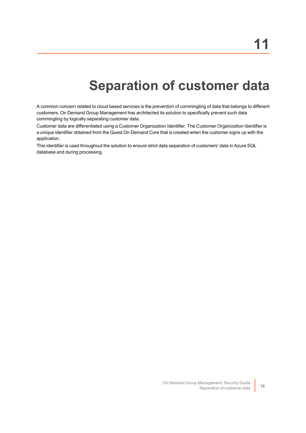# **Separation of customer data**

<span id="page-15-0"></span>A common concern related to cloud based services is the prevention of commingling of data that belongs to different customers. On Demand Group Management has architected its solution to specifically prevent such data commingling by logically separating customer data.

Customer data are differentiated using a Customer Organization Identifier. The Customer Organization Identifier is a unique identifier obtained from the Quest On Demand Core that is created when the customer signs up with the application.

This identifier is used throughout the solution to ensure strict data separation of customers' data in Azure SQL database and during processing.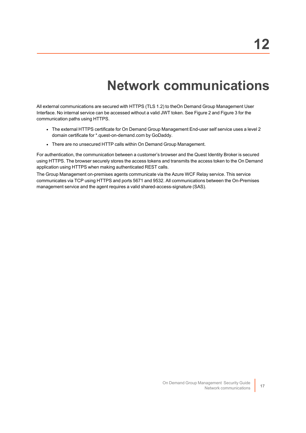# **Network communications**

<span id="page-16-0"></span>All external communications are secured with HTTPS (TLS 1.2) to theOn Demand Group Management User Interface. No internal service can be accessed without a valid JWT token. See Figure 2 and Figure 3 for the communication paths using HTTPS.

- The external HTTPS certificate for On Demand Group Management End-user self service uses a level 2 domain certificate for \*.quest-on-demand.com by GoDaddy.
- There are no unsecured HTTP calls within On Demand Group Management.

For authentication, the communication between a customer's browser and the Quest Identity Broker is secured using HTTPS. The browser securely stores the access tokens and transmits the access token to the On Demand application using HTTPS when making authenticated REST calls.

The Group Management on-premises agents communicate via the Azure WCF Relay service. This service communicates via TCP using HTTPS and ports 5671 and 9532. All communications between the On-Premises management service and the agent requires a valid shared-access-signature (SAS).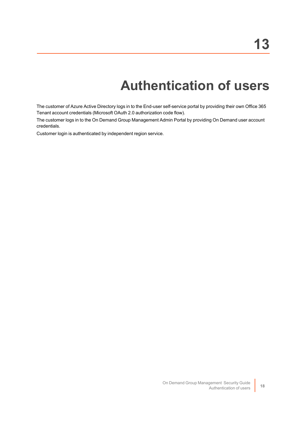# **Authentication of users**

<span id="page-17-0"></span>The customer of Azure Active Directory logs in to the End-user self-service portal by providing their own Office 365 Tenant account credentials (Microsoft OAuth 2.0 authorization code flow).

The customer logs in to the On Demand Group Management Admin Portal by providing On Demand user account credentials.

Customer login is authenticated by independent region service.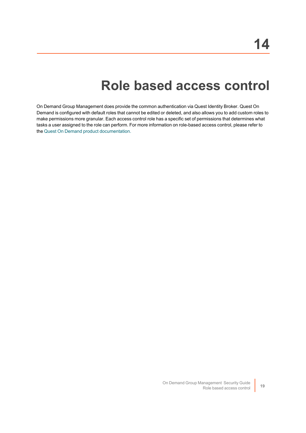### **Role based access control**

<span id="page-18-0"></span>On Demand Group Management does provide the common authentication via Quest Identity Broker. Quest On Demand is configured with default roles that cannot be edited or deleted, and also allows you to add custom roles to make permissions more granular. Each access control role has a specific set of permissions that determines what tasks a user assigned to the role can perform. For more information on role-based access control, please refer to the Quest On Demand product [documentation.](https://support.quest.com/technical-documents/on-demand-global-settings/user-guide/adding-users-to-an-organization/adding-users-and-assigning-a-role)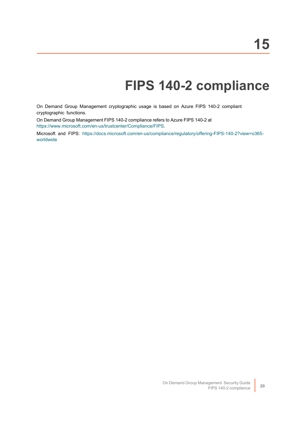# **FIPS 140-2 compliance**

<span id="page-19-0"></span>On Demand Group Management cryptographic usage is based on Azure FIPS 140-2 compliant cryptographic functions.

On Demand Group Management FIPS 140-2 compliance refers to Azure FIPS 140-2 at

[https://www.microsoft.com/en-us/trustcenter/Compliance/FIPS.](https://www.microsoft.com/en-us/trustcenter/Compliance/FIPS)

Microsoft and FIPS: [https://docs.microsoft.com/en-us/compliance/regulatory/offering-FIPS-140-2?view=o365](https://docs.microsoft.com/en-us/compliance/regulatory/offering-FIPS-140-2?view=o365-worldwide) [worldwide](https://docs.microsoft.com/en-us/compliance/regulatory/offering-FIPS-140-2?view=o365-worldwide)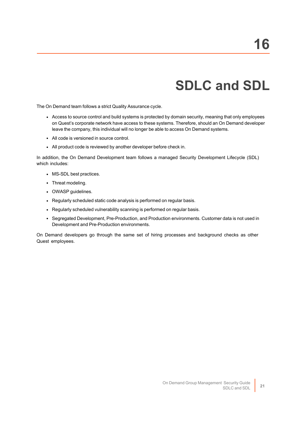# **SDLC and SDL**

<span id="page-20-0"></span>The On Demand team follows a strict Quality Assurance cycle.

- Access to source control and build systems is protected by domain security, meaning that only employees on Quest's corporate network have access to these systems. Therefore, should an On Demand developer leave the company, this individual will no longer be able to access On Demand systems.
- All code is versioned in source control.
- All product code is reviewed by another developer before check in.

In addition, the On Demand Development team follows a managed Security Development Lifecycle (SDL) which includes:

- MS-SDL best practices.
- Threat modeling.
- OWASP guidelines.
- Regularly scheduled static code analysis is performed on regular basis.
- Regularly scheduled vulnerability scanning is performed on regular basis.
- Segregated Development, Pre-Production, and Production environments. Customer data is not used in Development and Pre-Production environments.

On Demand developers go through the same set of hiring processes and background checks as other Quest employees.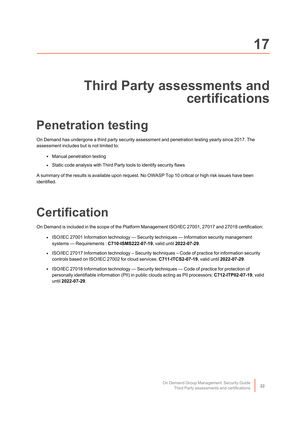### <span id="page-21-0"></span>**Third Party assessments and certifications**

# <span id="page-21-1"></span>**Penetration testing**

On Demand has undergone a third party security assessment and penetration testing yearly since 2017. The assessment includes but is not limited to:

- Manual penetration testing
- Static code analysis with Third Party tools to identify security flaws

A summary of the results is available upon request. No OWASP Top 10 critical or high risk issues have been identified.

# <span id="page-21-2"></span>**Certification**

On Demand is included in the scope of the Platform Management ISO/IEC 27001, 27017 and 27018 certification:

- ISO/IEC 27001 Information technology Security techniques Information security management systems — Requirements : **C710-ISMS222-07-19**, valid until **2022-07-29**.
- ISO/IEC 27017 Information technology Security techniques Code of practice for information security controls based on ISO/IEC 27002 for cloud services: **C711-ITCS2-07-19**, valid until **2022-07-29**.
- ISO/IEC 27018 Information technology Security techniques Code of practice for protection of personally identifiable information (PII) in public clouds acting as PII processors: **C712-ITPII2-07-19**, valid until **2022-07-29**.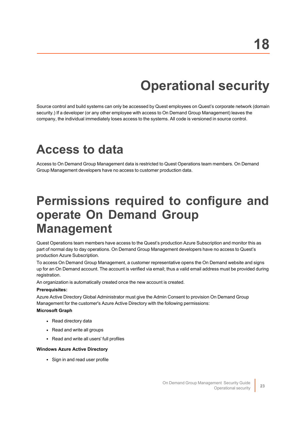# **Operational security**

<span id="page-22-0"></span>Source control and build systems can only be accessed by Quest employees on Quest's corporate network (domain security.) If a developer (or any other employee with access to On Demand Group Management) leaves the company, the individual immediately loses access to the systems. All code is versioned in source control.

### <span id="page-22-1"></span>**Access to data**

Access to On Demand Group Management data is restricted to Quest Operations team members. On Demand Group Management developers have no access to customer production data.

### <span id="page-22-2"></span>**Permissions required to configure and operate On Demand Group Management**

Quest Operations team members have access to the Quest's production Azure Subscription and monitor this as part of normal day to day operations. On Demand Group Management developers have no access to Quest's production Azure Subscription.

To access On Demand Group Management, a customer representative opens the On Demand website and signs up for an On Demand account. The account is verified via email; thus a valid email address must be provided during registration.

An organization is automatically created once the new account is created.

#### **Prerequisites:**

Azure Active Directory Global Administrator must give the Admin Consent to provision On Demand Group Management for the customer's Azure Active Directory with the following permissions:

#### **Microsoft Graph**

- Read directory data
- Read and write all groups
- Read and write all users' full profiles

#### **Windows Azure Active Directory**

• Sign in and read user profile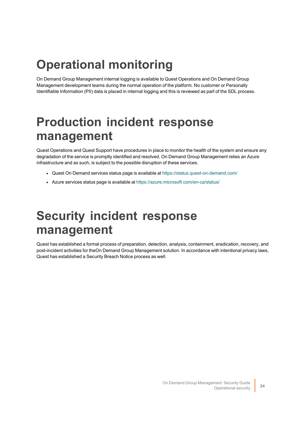# <span id="page-23-0"></span>**Operational monitoring**

On Demand Group Management internal logging is available to Quest Operations and On Demand Group Management development teams during the normal operation of the platform. No customer or Personally Identifiable Information (PII) data is placed in internal logging and this is reviewed as part of the SDL process.

# <span id="page-23-1"></span>**Production incident response management**

Quest Operations and Quest Support have procedures in place to monitor the health of the system and ensure any degradation of the service is promptly identified and resolved. On Demand Group Management relies an Azure infrastructure and as such, is subject to the possible disruption of these services.

- Quest On Demand services status page is available at <https://status.quest-on-demand.com/>
- Azure services status page is available at <https://azure.microsoft.com/en-ca/status/>

### <span id="page-23-2"></span>**Security incident response management**

Quest has established a formal process of preparation, detection, analysis, containment, eradication, recovery, and post-incident activities for theOn Demand Group Management solution. In accordance with intentional privacy laws, Quest has established a Security Breach Notice process as well.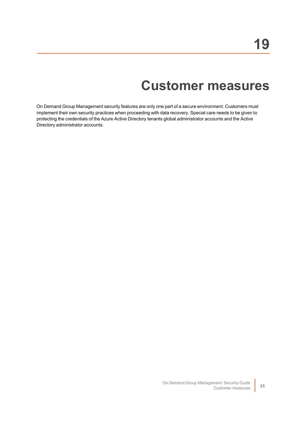# **Customer measures**

<span id="page-24-0"></span>On Demand Group Management security features are only one part of a secure environment. Customers must implement their own security practices when proceeding with data recovery. Special care needs to be given to protecting the credentials of the Azure Active Directory tenants global administrator accounts and the Active Directory administrator accounts.